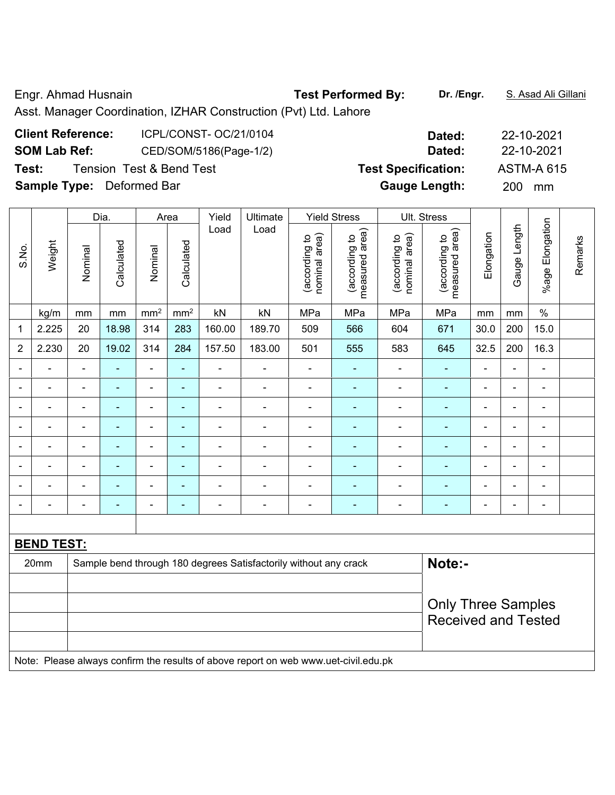Engr. Ahmad Husnain **Test Performed By:** Dr. /Engr. **S. Asad Ali Gillani** Ali Gillani

Asst. Manager Coordination, IZHAR Construction (Pvt) Ltd. Lahore

| <b>Client Reference:</b>         | ICPL/CONST- OC/21/0104              | Dated:                     | 22-10-2021        |
|----------------------------------|-------------------------------------|----------------------------|-------------------|
| <b>SOM Lab Ref:</b>              | CED/SOM/5186(Page-1/2)              | Dated:                     | 22-10-2021        |
| Test:                            | <b>Tension Test &amp; Bend Test</b> | <b>Test Specification:</b> | <b>ASTM-A 615</b> |
| <b>Sample Type:</b> Deformed Bar |                                     | <b>Gauge Length:</b>       | <b>200</b><br>mm  |

|                |                   |                           | Dia.           |                              | Area            | Yield          | Ultimate                                                                            |                                | <b>Yield Stress</b>             |                                | Ult. Stress                     |                |                |                          |         |
|----------------|-------------------|---------------------------|----------------|------------------------------|-----------------|----------------|-------------------------------------------------------------------------------------|--------------------------------|---------------------------------|--------------------------------|---------------------------------|----------------|----------------|--------------------------|---------|
| S.No.          | Weight            | Nominal                   | Calculated     | Nominal                      | Calculated      | Load           | Load                                                                                | nominal area)<br>(according to | measured area)<br>(according to | (according to<br>nominal area) | measured area)<br>(according to | Elongation     | Gauge Length   | %age Elongation          | Remarks |
|                | kg/m              | mm                        | mm             | mm <sup>2</sup>              | mm <sup>2</sup> | kN             | kN                                                                                  | MPa                            | MPa                             | MPa                            | MPa                             | mm             | mm             | $\%$                     |         |
| $\mathbf{1}$   | 2.225             | 20                        | 18.98          | 314                          | 283             | 160.00         | 189.70                                                                              | 509                            | 566                             | 604                            | 671                             | 30.0           | 200            | 15.0                     |         |
| $\overline{2}$ | 2.230             | 20                        | 19.02          | 314                          | 284             | 157.50         | 183.00                                                                              | 501                            | 555                             | 583                            | 645                             | 32.5           | 200            | 16.3                     |         |
|                |                   | $\blacksquare$            | Ē,             | ÷,                           | ÷,              | $\overline{a}$ |                                                                                     | $\blacksquare$                 | ٠                               | ÷,                             | $\blacksquare$                  | $\blacksquare$ | $\blacksquare$ | ÷,                       |         |
| $\blacksquare$ | $\blacksquare$    | ä,                        | ÷,             | $\qquad \qquad \blacksquare$ | ÷,              | $\blacksquare$ | $\blacksquare$                                                                      | $\blacksquare$                 | $\blacksquare$                  | $\overline{\phantom{0}}$       | $\blacksquare$                  | $\blacksquare$ | $\blacksquare$ | $\overline{\phantom{a}}$ |         |
| $\blacksquare$ | $\blacksquare$    | ä,                        | $\blacksquare$ | $\blacksquare$               | $\blacksquare$  | ä,             | $\blacksquare$                                                                      | $\blacksquare$                 | $\blacksquare$                  | $\overline{\phantom{0}}$       | $\blacksquare$                  | $\blacksquare$ | $\blacksquare$ | $\overline{\phantom{a}}$ |         |
| $\blacksquare$ | $\blacksquare$    | $\blacksquare$            | ä,             | $\blacksquare$               | ÷,              | ä,             | $\blacksquare$                                                                      | $\blacksquare$                 | $\blacksquare$                  | ÷                              | $\blacksquare$                  | $\blacksquare$ | $\blacksquare$ | $\overline{\phantom{a}}$ |         |
|                |                   |                           | L,             | Ē,                           | L,              | L.             |                                                                                     | $\blacksquare$                 | $\blacksquare$                  | ä,                             | L,                              |                | Ē,             | $\blacksquare$           |         |
|                |                   |                           |                | ÷                            | ۰               |                |                                                                                     | $\overline{\phantom{0}}$       | ۰                               | ä,                             |                                 |                | $\blacksquare$ | $\blacksquare$           |         |
|                |                   |                           |                | $\blacksquare$               | ä,              |                |                                                                                     | $\blacksquare$                 | $\blacksquare$                  | $\blacksquare$                 | ÷,                              |                | $\blacksquare$ | $\blacksquare$           |         |
| $\blacksquare$ |                   | $\blacksquare$            | ÷,             | ÷,                           | ٠               | $\blacksquare$ | $\blacksquare$                                                                      | $\blacksquare$                 | $\blacksquare$                  | ۰                              | $\blacksquare$                  | $\blacksquare$ | $\blacksquare$ | $\overline{\phantom{a}}$ |         |
|                |                   |                           |                |                              |                 |                |                                                                                     |                                |                                 |                                |                                 |                |                |                          |         |
|                | <b>BEND TEST:</b> |                           |                |                              |                 |                |                                                                                     |                                |                                 |                                |                                 |                |                |                          |         |
|                | 20mm              |                           |                |                              |                 |                | Sample bend through 180 degrees Satisfactorily without any crack                    |                                |                                 |                                | Note:-                          |                |                |                          |         |
|                |                   |                           |                |                              |                 |                |                                                                                     |                                |                                 |                                |                                 |                |                |                          |         |
|                |                   | <b>Only Three Samples</b> |                |                              |                 |                |                                                                                     |                                |                                 |                                |                                 |                |                |                          |         |
|                |                   |                           |                |                              |                 |                |                                                                                     |                                |                                 |                                | <b>Received and Tested</b>      |                |                |                          |         |
|                |                   |                           |                |                              |                 |                |                                                                                     |                                |                                 |                                |                                 |                |                |                          |         |
|                |                   |                           |                |                              |                 |                | Note: Please always confirm the results of above report on web www.uet-civil.edu.pk |                                |                                 |                                |                                 |                |                |                          |         |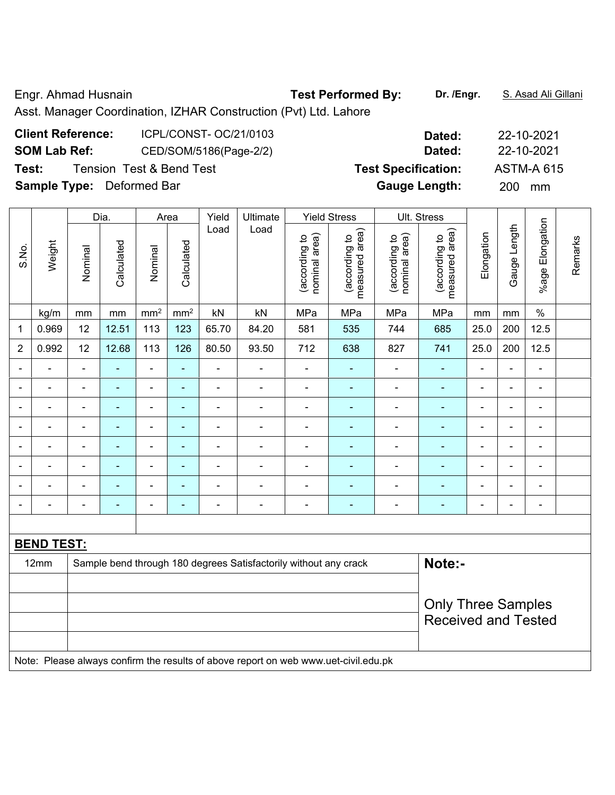Engr. Ahmad Husnain **Test Performed By:** Dr. /Engr. **S. Asad Ali Gillani** Ali Gillani

Asst. Manager Coordination, IZHAR Construction (Pvt) Ltd. Lahore

| <b>Client Reference:</b>         | ICPL/CONST- OC/21/0103              | Dated:                     | 22-10-2021        |
|----------------------------------|-------------------------------------|----------------------------|-------------------|
| <b>SOM Lab Ref:</b>              | CED/SOM/5186(Page-2/2)              | Dated:                     | 22-10-2021        |
| Test:                            | <b>Tension Test &amp; Bend Test</b> | <b>Test Specification:</b> | <b>ASTM-A 615</b> |
| <b>Sample Type:</b> Deformed Bar |                                     | <b>Gauge Length:</b>       | 200<br>mm         |

|                |                   |                | Dia.                     |                              | Area                     | Yield                                                                                                                                                              | Ultimate                                                         |                                | <b>Yield Stress</b>                                                              |                                | Ult. Stress                     |                |                |                      |         |
|----------------|-------------------|----------------|--------------------------|------------------------------|--------------------------|--------------------------------------------------------------------------------------------------------------------------------------------------------------------|------------------------------------------------------------------|--------------------------------|----------------------------------------------------------------------------------|--------------------------------|---------------------------------|----------------|----------------|----------------------|---------|
| S.No.          | Weight            | Nominal        | Calculated               | Nominal                      | Calculated               | Load                                                                                                                                                               | Load                                                             | nominal area)<br>(according to | measured area)<br>(according to                                                  | nominal area)<br>(according to | measured area)<br>(according to | Elongation     | Gauge Length   | Elongation<br>%age I | Remarks |
|                | kg/m              | mm             | mm                       | mm <sup>2</sup>              | mm <sup>2</sup>          | kN                                                                                                                                                                 | kN                                                               | MPa                            | MPa                                                                              | MPa                            | MPa                             | mm             | mm             | $\%$                 |         |
| 1              | 0.969             | 12             | 12.51                    | 113                          | 123                      | 65.70                                                                                                                                                              | 84.20                                                            | 581                            | 535                                                                              | 744                            | 685                             | 25.0           | 200            | 12.5                 |         |
| $\overline{2}$ | 0.992             | 12             | 12.68                    | 113                          | 126                      | 80.50                                                                                                                                                              | 93.50                                                            | 712                            | 638                                                                              | 827                            | 741                             | 25.0           | 200            | 12.5                 |         |
|                | $\blacksquare$    | $\blacksquare$ | ٠                        | $\blacksquare$               | ÷,                       | $\blacksquare$                                                                                                                                                     | $\blacksquare$                                                   | $\blacksquare$                 | $\blacksquare$                                                                   |                                | $\blacksquare$                  | $\blacksquare$ | ä,             | ä,                   |         |
|                |                   | $\blacksquare$ | $\blacksquare$           | $\blacksquare$               | $\blacksquare$           | $\blacksquare$                                                                                                                                                     | $\blacksquare$                                                   | $\blacksquare$                 |                                                                                  |                                | ä,                              | $\blacksquare$ | L,             | $\blacksquare$       |         |
|                |                   | $\blacksquare$ | ۳                        | $\blacksquare$               |                          | $\blacksquare$                                                                                                                                                     | $\blacksquare$                                                   | $\blacksquare$                 |                                                                                  |                                | ÷                               | $\blacksquare$ | L,             | ÷                    |         |
| $\blacksquare$ | $\blacksquare$    | $\blacksquare$ | ٠                        | $\blacksquare$               | $\blacksquare$           | $\blacksquare$                                                                                                                                                     | $\blacksquare$                                                   | $\blacksquare$                 |                                                                                  |                                | ÷,                              | $\blacksquare$ | L,             | $\blacksquare$       |         |
|                | ۰                 | $\blacksquare$ | $\overline{\phantom{0}}$ | $\qquad \qquad \blacksquare$ | $\overline{\phantom{0}}$ | $\overline{\phantom{0}}$                                                                                                                                           | $\qquad \qquad \blacksquare$                                     | $\overline{\phantom{0}}$       |                                                                                  |                                | ۰                               | $\overline{a}$ | -              | $\blacksquare$       |         |
|                |                   | ä,             | $\blacksquare$           | ۰                            | ٠                        | $\blacksquare$                                                                                                                                                     | $\blacksquare$                                                   | $\blacksquare$                 |                                                                                  | $\blacksquare$                 | ä,                              | ۰              | Ē,             | $\blacksquare$       |         |
|                |                   |                |                          | ۰                            |                          |                                                                                                                                                                    |                                                                  |                                |                                                                                  |                                |                                 |                | $\blacksquare$ | $\overline{a}$       |         |
|                |                   | $\blacksquare$ | -                        | $\qquad \qquad \blacksquare$ | ٠                        | $\blacksquare$                                                                                                                                                     | $\qquad \qquad \blacksquare$                                     | $\blacksquare$                 | $\overline{\phantom{0}}$                                                         | $\blacksquare$                 | ۰                               | $\blacksquare$ | ä,             | ä,                   |         |
|                |                   |                |                          |                              |                          |                                                                                                                                                                    |                                                                  |                                |                                                                                  |                                |                                 |                |                |                      |         |
|                | <b>BEND TEST:</b> |                |                          |                              |                          |                                                                                                                                                                    |                                                                  |                                |                                                                                  |                                |                                 |                |                |                      |         |
|                | 12mm              |                |                          |                              |                          |                                                                                                                                                                    | Sample bend through 180 degrees Satisfactorily without any crack |                                |                                                                                  |                                | Note:-                          |                |                |                      |         |
|                |                   |                |                          |                              |                          |                                                                                                                                                                    |                                                                  |                                |                                                                                  |                                |                                 |                |                |                      |         |
|                |                   |                |                          |                              |                          |                                                                                                                                                                    |                                                                  |                                |                                                                                  |                                | <b>Only Three Samples</b>       |                |                |                      |         |
|                |                   |                |                          |                              |                          |                                                                                                                                                                    |                                                                  |                                |                                                                                  |                                | <b>Received and Tested</b>      |                |                |                      |         |
|                |                   |                |                          |                              |                          |                                                                                                                                                                    |                                                                  |                                |                                                                                  |                                |                                 |                |                |                      |         |
|                |                   |                |                          |                              |                          | $\mathbf{M}$ is $\mathbf{L}$ . $\mathbf{L}$ is the set of the set of $\mathbf{L}$ is the set of $\mathbf{L}$ is the set of $\mathbf{L}$ is the set of $\mathbf{L}$ |                                                                  |                                | and the company of the company of the company of the state of the company of the |                                |                                 |                |                |                      |         |

Note: Please always confirm the results of above report on web www.uet-civil.edu.pk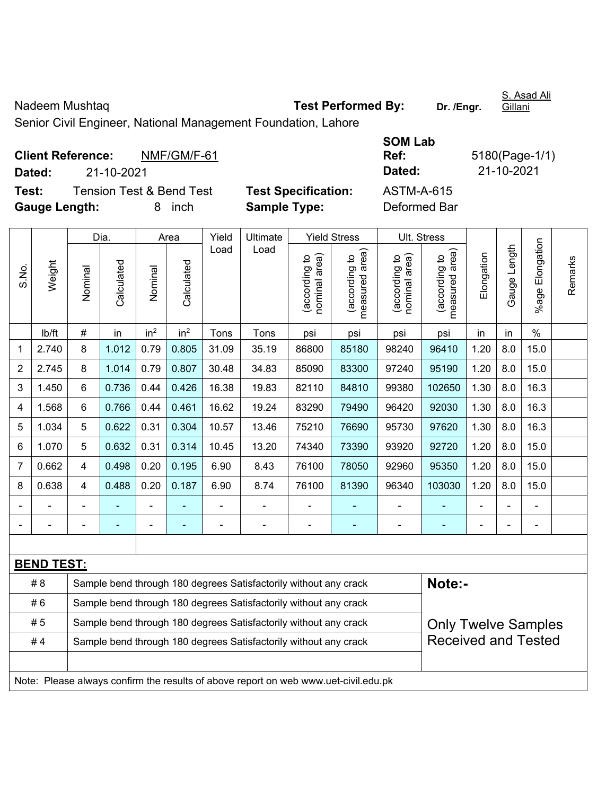Nadeem Mushtaq **Test Performed By:** Dr. /Engr.

S. Asad Ali Gillani

Senior Civil Engineer, National Management Foundation, Lahore

|               | <b>Client Reference:</b> | NMF/GM/F-61                         |                            | Ref:         | 5180(Page-1/ |
|---------------|--------------------------|-------------------------------------|----------------------------|--------------|--------------|
| Dated:        | 21-10-2021               |                                     |                            | Dated:       | 21-10-2021   |
| Test:         |                          | <b>Tension Test &amp; Bend Test</b> | <b>Test Specification:</b> | ASTM-A-615   |              |
| Gauge Length: |                          | inch<br>8.                          | <b>Sample Type:</b>        | Deformed Bar |              |

| SOM Lab      |                |
|--------------|----------------|
| Ref:         | 5180(Page-1/1) |
| Dated:       | 21-10-2021     |
| ASTM-A-615   |                |
| Deformed Bar |                |

|                |                   |                | Dia.                                                                                           |                 | Area            | Yield          | Ultimate                                                                            |                                | <b>Yield Stress</b>             |                                | Ult. Stress                                 |            |              |                 |         |
|----------------|-------------------|----------------|------------------------------------------------------------------------------------------------|-----------------|-----------------|----------------|-------------------------------------------------------------------------------------|--------------------------------|---------------------------------|--------------------------------|---------------------------------------------|------------|--------------|-----------------|---------|
| S.No.          | Weight            | Nominal        | Calculated                                                                                     | Nominal         | Calculated      | Load           | Load                                                                                | nominal area)<br>(according to | measured area)<br>(according to | nominal area)<br>(according to | (according to<br>neasured area)<br>measured | Elongation | Gauge Length | %age Elongation | Remarks |
|                | Ib/ft             | $\#$           | in                                                                                             | in <sup>2</sup> | in <sup>2</sup> | Tons           | Tons                                                                                | psi                            | psi                             | psi                            | psi                                         | in         | in           | $\%$            |         |
| 1              | 2.740             | 8              | 1.012                                                                                          | 0.79            | 0.805           | 31.09          | 35.19                                                                               | 86800                          | 85180                           | 98240                          | 96410                                       | 1.20       | 8.0          | 15.0            |         |
| $\overline{2}$ | 2.745             | 8              | 1.014                                                                                          | 0.79            | 0.807           | 30.48          | 34.83                                                                               | 85090                          | 83300                           | 97240                          | 95190                                       | 1.20       | 8.0          | 15.0            |         |
| 3              | 1.450             | 6              | 0.736                                                                                          | 0.44            | 0.426           | 16.38          | 19.83                                                                               | 82110                          | 84810                           | 99380                          | 102650                                      | 1.30       | 8.0          | 16.3            |         |
| 4              | 1.568             | 6              | 0.766                                                                                          | 0.44            | 0.461           | 16.62          | 19.24                                                                               | 83290                          | 79490                           | 96420                          | 92030                                       | 1.30       | 8.0          | 16.3            |         |
| 5              | 1.034             | 5              | 0.622                                                                                          | 0.31            | 0.304           | 10.57          | 13.46                                                                               | 75210                          | 76690                           | 95730                          | 97620                                       | 1.30       | 8.0          | 16.3            |         |
| 6              | 1.070             | 5              | 0.632                                                                                          | 0.31            | 0.314           | 10.45          | 13.20                                                                               | 74340                          | 73390                           | 93920                          | 92720                                       | 1.20       | 8.0          | 15.0            |         |
| 7              | 0.662             | $\overline{4}$ | 0.498                                                                                          | 0.20            | 0.195           | 6.90           | 8.43                                                                                | 76100                          | 78050                           | 92960                          | 95350                                       | 1.20       | 8.0          | 15.0            |         |
| 8              | 0.638             | $\overline{4}$ | 0.488                                                                                          | 0.20            | 0.187           | 6.90           | 8.74                                                                                | 76100                          | 81390                           | 96340                          | 103030                                      | 1.20       | 8.0          | 15.0            |         |
| $\blacksquare$ |                   | $\blacksquare$ |                                                                                                |                 |                 | $\blacksquare$ | $\blacksquare$                                                                      | ٠                              | $\blacksquare$                  |                                | $\blacksquare$                              |            |              |                 |         |
| $\blacksquare$ |                   | $\blacksquare$ | $\blacksquare$                                                                                 | ä,              |                 | $\blacksquare$ | ÷,                                                                                  | $\blacksquare$                 | $\blacksquare$                  | ÷,                             | $\blacksquare$                              | Ē,         |              | $\blacksquare$  |         |
|                |                   |                |                                                                                                |                 |                 |                |                                                                                     |                                |                                 |                                |                                             |            |              |                 |         |
|                | <b>BEND TEST:</b> |                |                                                                                                |                 |                 |                |                                                                                     |                                |                                 |                                |                                             |            |              |                 |         |
|                | #8                |                |                                                                                                |                 |                 |                | Sample bend through 180 degrees Satisfactorily without any crack                    |                                |                                 |                                | Note:-                                      |            |              |                 |         |
|                | #6                |                |                                                                                                |                 |                 |                | Sample bend through 180 degrees Satisfactorily without any crack                    |                                |                                 |                                |                                             |            |              |                 |         |
|                | #5                |                | Sample bend through 180 degrees Satisfactorily without any crack<br><b>Only Twelve Samples</b> |                 |                 |                |                                                                                     |                                |                                 |                                |                                             |            |              |                 |         |
|                | #4                |                |                                                                                                |                 |                 |                | Sample bend through 180 degrees Satisfactorily without any crack                    |                                |                                 |                                | <b>Received and Tested</b>                  |            |              |                 |         |
|                |                   |                |                                                                                                |                 |                 |                |                                                                                     |                                |                                 |                                |                                             |            |              |                 |         |
|                |                   |                |                                                                                                |                 |                 |                | Note: Please always confirm the results of above report on web www.uet-civil.edu.pk |                                |                                 |                                |                                             |            |              |                 |         |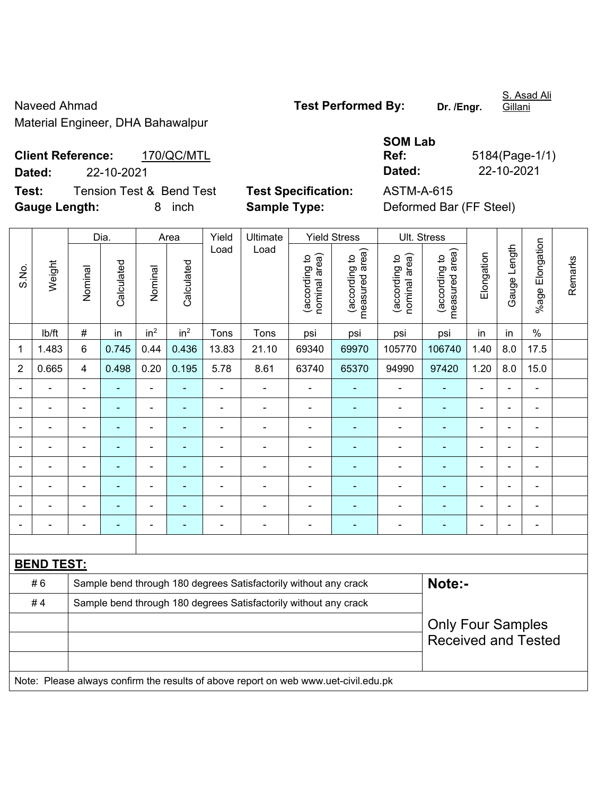Naveed Ahmad **Naveed Ahmad Test Performed By:** Dr. /Engr. Material Engineer, DHA Bahawalpur

S. Asad Ali Gillani

**Client Reference:** 170/QC/MTL **Dated:** 22-10-2021 **Dated:** 22-10-2021 **Test:** Tension Test & Bend Test **Test Specification:** ASTM-A-615

**Gauge Length:** 8 inch **Sample Type:** Deformed Bar (FF Steel)

| 5184(Page-1/1) |
|----------------|
| 22-10-2021     |
|                |

|                |                          |                                                        | Dia.       |                          | Area            | Yield          | Ultimate                                                                            |                                | <b>Yield Stress</b>             |                                   | Ult. Stress                     |                          |                |                 |         |
|----------------|--------------------------|--------------------------------------------------------|------------|--------------------------|-----------------|----------------|-------------------------------------------------------------------------------------|--------------------------------|---------------------------------|-----------------------------------|---------------------------------|--------------------------|----------------|-----------------|---------|
| S.No.          | Weight                   | Nominal                                                | Calculated | Nominal                  | Calculated      | Load           | Load                                                                                | nominal area)<br>(according to | (according to<br>measured area) | area)<br>(according to<br>nominal | (according to<br>measured area) | Elongation               | Gauge Length   | %age Elongation | Remarks |
|                | lb/ft                    | $\#$                                                   | in         | in <sup>2</sup>          | in <sup>2</sup> | Tons           | Tons                                                                                | psi                            | psi                             | psi                               | psi                             | in                       | in             | $\%$            |         |
| 1              | 1.483                    | 6                                                      | 0.745      | 0.44                     | 0.436           | 13.83          | 21.10                                                                               | 69340                          | 69970                           | 105770                            | 106740                          | 1.40                     | 8.0            | 17.5            |         |
| $\overline{2}$ | 0.665                    | 4                                                      | 0.498      | 0.20                     | 0.195           | 5.78           | 8.61                                                                                | 63740                          | 65370                           | 94990                             | 97420                           | 1.20                     | 8.0            | 15.0            |         |
|                |                          |                                                        |            | $\overline{a}$           |                 | $\overline{a}$ | $\overline{a}$                                                                      |                                |                                 |                                   |                                 | $\overline{a}$           |                | ÷.              |         |
|                |                          |                                                        | ۰          | $\blacksquare$           |                 |                | $\overline{\phantom{0}}$                                                            |                                | ۰                               | $\blacksquare$                    | $\blacksquare$                  | $\blacksquare$           |                | ۰               |         |
|                | $\blacksquare$           |                                                        |            | $\overline{\phantom{0}}$ |                 |                | $\blacksquare$                                                                      | $\blacksquare$                 |                                 |                                   |                                 | $\overline{\phantom{0}}$ |                | $\blacksquare$  |         |
| Ē,             | $\overline{a}$           |                                                        | ÷,         | $\blacksquare$           |                 |                |                                                                                     | $\blacksquare$                 | ٠                               | ÷                                 | $\blacksquare$                  | $\blacksquare$           | Ē,             | ÷,              |         |
|                | $\overline{\phantom{0}}$ | $\blacksquare$                                         | ۰          | $\blacksquare$           | $\blacksquare$  | $\blacksquare$ | $\blacksquare$                                                                      | $\blacksquare$                 | ۰                               | $\overline{\phantom{a}}$          | $\blacksquare$                  | $\blacksquare$           | $\blacksquare$ | ۰               |         |
|                | $\blacksquare$           | L,                                                     | ä,         | $\blacksquare$           |                 | ä,             | $\blacksquare$                                                                      | $\blacksquare$                 | ۰                               | ÷                                 | $\blacksquare$                  | $\blacksquare$           |                | $\blacksquare$  |         |
|                | $\overline{a}$           |                                                        | ÷          | $\blacksquare$           |                 | Ē,             | $\blacksquare$                                                                      | ä,                             |                                 | $\blacksquare$                    | $\blacksquare$                  | $\blacksquare$           |                | $\blacksquare$  |         |
|                |                          |                                                        |            |                          |                 |                | $\blacksquare$                                                                      | ä,                             | $\blacksquare$                  |                                   |                                 |                          |                | $\blacksquare$  |         |
|                |                          |                                                        |            |                          |                 |                |                                                                                     |                                |                                 |                                   |                                 |                          |                |                 |         |
|                | <b>BEND TEST:</b>        |                                                        |            |                          |                 |                |                                                                                     |                                |                                 |                                   |                                 |                          |                |                 |         |
|                | #6                       |                                                        |            |                          |                 |                | Sample bend through 180 degrees Satisfactorily without any crack                    |                                |                                 |                                   | Note:-                          |                          |                |                 |         |
|                | #4                       |                                                        |            |                          |                 |                | Sample bend through 180 degrees Satisfactorily without any crack                    |                                |                                 |                                   |                                 |                          |                |                 |         |
|                |                          | <b>Only Four Samples</b><br><b>Received and Tested</b> |            |                          |                 |                |                                                                                     |                                |                                 |                                   |                                 |                          |                |                 |         |
|                |                          |                                                        |            |                          |                 |                | Note: Please always confirm the results of above report on web www.uet-civil.edu.pk |                                |                                 |                                   |                                 |                          |                |                 |         |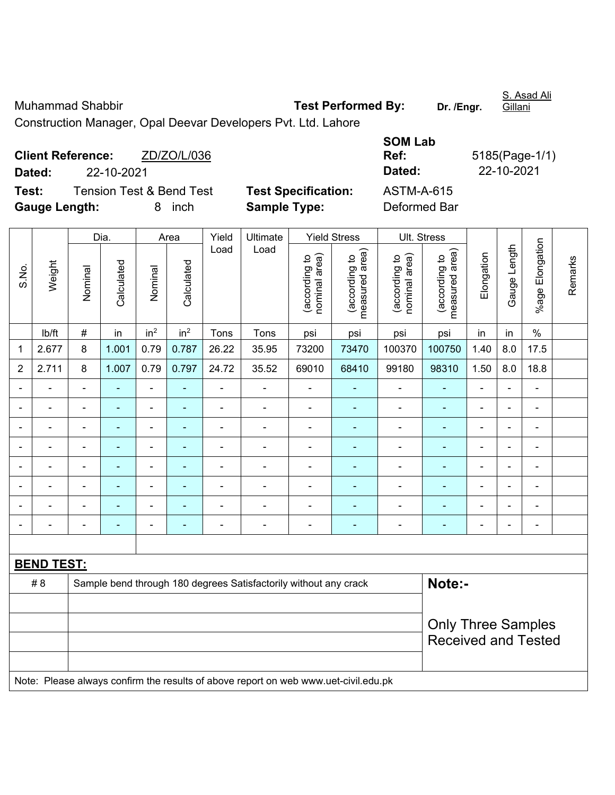Muhammad Shabbir **Test Performed By:** Dr. /Engr.

S. Asad Ali Gillani

Construction Manager, Opal Deevar Developers Pvt. Ltd. Lahore

|                      | <b>Client Reference:</b> | ZD/ZO/L/036                         |                            | Ref:         | 5185(Page-1/ |
|----------------------|--------------------------|-------------------------------------|----------------------------|--------------|--------------|
| Dated:               | 22-10-2021               |                                     |                            | Dated:       | 22-10-2021   |
| Test:                |                          | <b>Tension Test &amp; Bend Test</b> | <b>Test Specification:</b> | ASTM-A-615   |              |
| <b>Gauge Length:</b> |                          | inch<br>8.                          | <b>Sample Type:</b>        | Deformed Bar |              |

| <b>SOM Lab</b> |                |
|----------------|----------------|
| Ref:           | 5185(Page-1/1) |
| Dated:         | 22-10-2021     |
| ASTM-A-615     |                |
| Deformed Rar   |                |

|                |                   |                | Dia.           |                          | Area            | Yield                     | Ultimate                                                                            |                                | <b>Yield Stress</b>             |                                | Ult. Stress                     |                          |                |                 |         |
|----------------|-------------------|----------------|----------------|--------------------------|-----------------|---------------------------|-------------------------------------------------------------------------------------|--------------------------------|---------------------------------|--------------------------------|---------------------------------|--------------------------|----------------|-----------------|---------|
| S.No.          | Weight            | Nominal        | Calculated     | Nominal                  | Calculated      | Load                      | Load                                                                                | nominal area)<br>(according to | (according to<br>measured area) | nominal area)<br>(according to | measured area)<br>(according to | Elongation               | Gauge Length   | %age Elongation | Remarks |
|                | lb/ft             | $\#$           | in             | in <sup>2</sup>          | in <sup>2</sup> | Tons                      | Tons                                                                                | psi                            | psi                             | psi                            | psi                             | in                       | in             | $\%$            |         |
| $\mathbf{1}$   | 2.677             | 8              | 1.001          | 0.79                     | 0.787           | 26.22                     | 35.95                                                                               | 73200                          | 73470                           | 100370                         | 100750                          | 1.40                     | 8.0            | 17.5            |         |
| $\overline{2}$ | 2.711             | 8              | 1.007          | 0.79                     | 0.797           | 24.72                     | 35.52                                                                               | 69010                          | 68410                           | 99180                          | 98310                           | 1.50                     | 8.0            | 18.8            |         |
|                |                   | $\blacksquare$ |                | $\blacksquare$           |                 | $\blacksquare$            | $\blacksquare$                                                                      | $\blacksquare$                 |                                 |                                |                                 | $\blacksquare$           |                | ä,              |         |
|                |                   | $\blacksquare$ | ÷              | $\blacksquare$           | $\blacksquare$  | $\blacksquare$            | $\overline{\phantom{0}}$                                                            | $\overline{\phantom{a}}$       | $\blacksquare$                  | $\blacksquare$                 | ۰                               | $\blacksquare$           | $\blacksquare$ | $\blacksquare$  |         |
| $\blacksquare$ | $\blacksquare$    | ä,             | ۰              | $\blacksquare$           | ٠               | ä,                        | $\blacksquare$                                                                      | $\overline{\phantom{a}}$       | ٠                               | $\overline{\phantom{0}}$       | $\overline{\phantom{0}}$        | $\blacksquare$           | $\blacksquare$ | $\blacksquare$  |         |
| $\blacksquare$ | $\blacksquare$    | ä,             | $\blacksquare$ | $\overline{\phantom{a}}$ | $\blacksquare$  | $\blacksquare$            | $\blacksquare$                                                                      | L,                             | $\overline{\phantom{a}}$        | $\blacksquare$                 | $\overline{\phantom{0}}$        | $\overline{\phantom{a}}$ | $\blacksquare$ | $\blacksquare$  |         |
| $\blacksquare$ | $\blacksquare$    | $\blacksquare$ | $\blacksquare$ | $\blacksquare$           | $\blacksquare$  | $\blacksquare$            | $\blacksquare$                                                                      | $\overline{\phantom{a}}$       | $\blacksquare$                  | $\blacksquare$                 | $\blacksquare$                  | $\blacksquare$           | $\blacksquare$ | $\blacksquare$  |         |
|                | $\blacksquare$    | $\blacksquare$ | $\blacksquare$ | ÷,                       | $\blacksquare$  | $\blacksquare$            | $\blacksquare$                                                                      | ä,                             | ٠                               | $\blacksquare$                 | ۰                               | $\blacksquare$           | ÷              | $\blacksquare$  |         |
|                | $\blacksquare$    | $\blacksquare$ | ÷              | $\blacksquare$           |                 | $\blacksquare$            | $\blacksquare$                                                                      | ä,                             | ٠                               | $\blacksquare$                 | ۰                               | $\blacksquare$           |                | $\blacksquare$  |         |
|                |                   | $\blacksquare$ |                |                          | $\blacksquare$  | $\blacksquare$            | $\blacksquare$                                                                      | ä,                             | ٠                               | $\blacksquare$                 | ۰                               | $\blacksquare$           |                | $\blacksquare$  |         |
|                |                   |                |                |                          |                 |                           |                                                                                     |                                |                                 |                                |                                 |                          |                |                 |         |
|                | <b>BEND TEST:</b> |                |                |                          |                 |                           |                                                                                     |                                |                                 |                                |                                 |                          |                |                 |         |
|                | # 8               |                |                |                          |                 |                           | Sample bend through 180 degrees Satisfactorily without any crack                    |                                |                                 |                                | Note:-                          |                          |                |                 |         |
|                |                   |                |                |                          |                 |                           |                                                                                     |                                |                                 |                                |                                 |                          |                |                 |         |
|                |                   |                |                |                          |                 | <b>Only Three Samples</b> |                                                                                     |                                |                                 |                                |                                 |                          |                |                 |         |
|                |                   |                |                |                          |                 |                           |                                                                                     |                                |                                 |                                | <b>Received and Tested</b>      |                          |                |                 |         |
|                |                   |                |                |                          |                 |                           |                                                                                     |                                |                                 |                                |                                 |                          |                |                 |         |
|                |                   |                |                |                          |                 |                           | Note: Please always confirm the results of above report on web www.uet-civil.edu.pk |                                |                                 |                                |                                 |                          |                |                 |         |